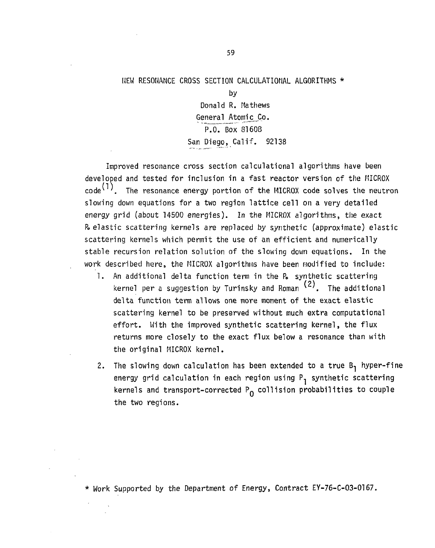#### HEW RESONANCE CROSS SECTION CALCULATIONAL ALGORITHMS \*

by Donald R. Mathews General Atomic Co. P.O. Box 81608 San Diego, Calif. 92138

Improved resonance cross section calculational algorithms have been developed and tested for inclusion in a fast reactor version of the MICROX  $\text{code}^{(1)}$ . The resonance energy portion of the MICROX code solves the neutron slowing down equations for a two region lattice cell on a very detailed energy grid (about 14500 energies). In the MICROX algorithms, the exact R> elastic scattering kernels are replaced by synthetic (approximate) elastic scattering kernels which permit the use of an efficient and numerically stable recursion relation solution of the slowing down equations. In the work described here, the MICROX algorithms have been modified to include:

- 1. An additional delta function term in the P. synthetic scattering *( 2 )*  kernel per a suggestion by Turinsky and Roman and Roman and Roman and Roman and Roman and Roman and Roman and scattering kernel to be preserved without much extra computational effort. With the improved synthetic scattering kernel, the flux returns more closely to the exact flux below a resonance than with the original MICROX kernel. the original MICROX kernel.
- 2. The slowing down calculation has been extended to a true  $B_1$  hyper-fine energy grid calculation in each region using  $P^1$  synthetic scattering kernels and transport-corrected  $P_{\Omega}$  collision probabilities to couple the two regions.

\* Work Supported by the Department of Energy, Contract EY-76-C-03-0167.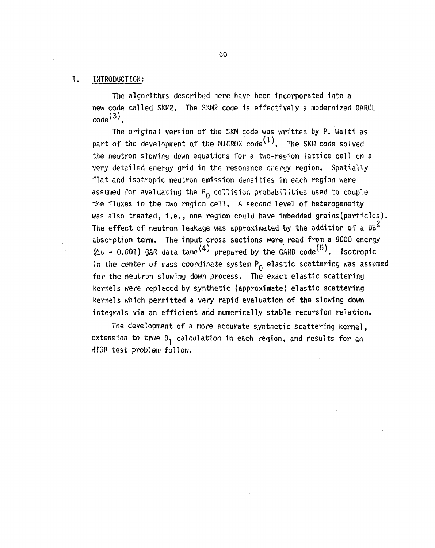#### 1. INTRODUCTION:

The algorithms described here have been incorporated into a new code called SKM2. The SKM2 code is effectively a modernized GAROL **code^ <sup>3</sup> \** 

The original version of the SKM code was written by P. Walti as part of the development of the MICROX code<sup> $(1)$ </sup>. The SKM code solved the neutron slowing down equations for a two-region lattice cell on a very detailed energy grid in the resonance energy region. Spatially flat and isotropic neutron emission densities in each region were assumed far evaluating the **Pq** collision probabilities used to couple the fluxes in the two region cell. A second level of heterogeneity was also treated, i.e., one region could have imbedded grains (particles). **2**  The effect of neutron leakage was approximated by the addition of a DB absorption term. The input cross sections were read from a 9000 energy (£u = 0.001) GAR data tape ^ prepared by the GAND code^ . Isotropic in the center of mass coordinate system **Pq** elastic scattering was assumed for the neutron slowing down process. The exact elastic scattering kernels were replaced by synthetic (approximate) elastic scattering kernels which permitted a very rapid evaluation of the slowing down integrals via an efficient and numerically stable recursion relation.

The development of a more accurate synthetic scattering kernel, extension to true  $B_1$  calculation in each region, and results for an HTGR test problem follow.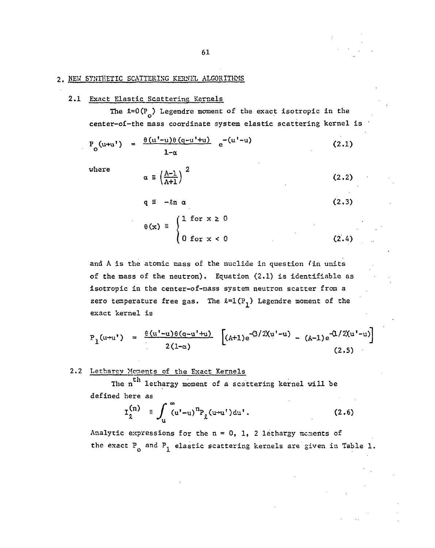#### 2. NEW SYNTHETIC SCATTERING KERNEL ALGORITHMS

#### 2.1 Exact Elastic Scattering Kernels

The  $k=0(P_0)$  Legendre moment of the exact isotropic in the center-of-the mass coordinate system elastic scattering kernel is

$$
P_o(u+u') = \frac{\theta(u'-u)\theta(q-u'+u)}{1-\alpha} e^{-(u'-u)}
$$
 (2.1)

where

$$
\alpha \equiv \left(\frac{A-1}{A+1}\right)^2 \qquad (2.2)
$$
  

$$
q \equiv -\ell n \alpha \qquad (2.3)
$$
  

$$
\theta(x) \equiv \begin{cases} 1 \text{ for } x \ge 0 \\ 0 \text{ for } x < 0 \end{cases} \qquad (2.4)
$$

and A is the atomic mass of the nuclide in question fin units of the mass of the neutron). Equation (2.1) is identifiable as isotropic in the center-of-mass system neutron scatter from a zero temperature free gas. The  $l=1(P^1)$  Legendre moment of the exact kernel is

$$
P_1(u+u') = \frac{\theta(u'-u)\theta(a-u'+u)}{2(1-\alpha)} \left[ (A+1)e^{-(3/2)(u'-u)} - (A-1)e^{-(1/2)(u'-u)} \right]
$$
 (2.5)

#### 2•2 Lethargy Moments of the Exact Kernels

The n<sup>th</sup> lethargy moment of a scattering kernel will be The n letterature moment of a scattering kernel will be seen as  $\mathcal{L}_\text{max}$ 

$$
I_{\lambda}^{(n)} = \int_{u}^{\infty} (u^{n} - u)^{n} P_{\lambda} (u + u^{n}) du^{n}.
$$
 (2.6)

Analytic expressions for the  $n = 0, 1, 2$  lethargy moments of the exact  $P^o$  and  $P^1$  elastic scattering kernels are given in Table 1.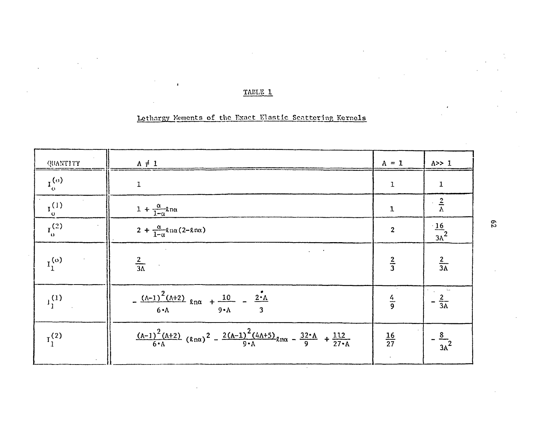### TABLE 1

### Lethargy Moments of the Exact Elastic Scattering Kornols

 $\ddot{\phantom{0}}$ 

 $\sim$ 

| QUANTITY                | $A \neq 1$                                                                                                                    | $A = 1$         | A>>1                    |
|-------------------------|-------------------------------------------------------------------------------------------------------------------------------|-----------------|-------------------------|
| $I_{\alpha}^{(\sigma)}$ | $\mathbf{1}$                                                                                                                  | $\mathbf 1$     | $\mathbf 1$             |
| $I_0^{(1)}$             | $1 + \frac{\alpha}{1-\alpha}$ 2na                                                                                             | $\mathbf 1$     | $\frac{2}{\Lambda}$     |
| $I_0^{(2)}$             | $2 + \frac{\alpha}{1-\alpha}$ lna (2-lna)                                                                                     | $\mathbf{2}$    | $\frac{16}{3\lambda^2}$ |
| $I_1^{(o)}$             | $\omega_{\rm{max}}=0.5$<br>$rac{2}{3\Lambda}$                                                                                 | $rac{2}{3}$     | $rac{2}{3A}$            |
| $1_1^{(1)}$             | $-\frac{(\Lambda-1)^2(\Lambda+2)}{6 \cdot \Lambda}$ $\ell n\alpha + \frac{10}{9 \cdot 1} - \frac{2 \cdot \Lambda}{9 \cdot 1}$ | $rac{4}{9}$     | $rac{2}{3A}$            |
| $I_1^{(2)}$             | $\frac{(A-1)^2 (A+2)}{6 A} (Rn\alpha)^2 - \frac{2(A-1)^2 (4A+5)}{9 A} n\alpha - \frac{32 A}{9} + \frac{112}{27 A}$            | $\frac{16}{27}$ | $\frac{8}{3A^2}$        |

 $62$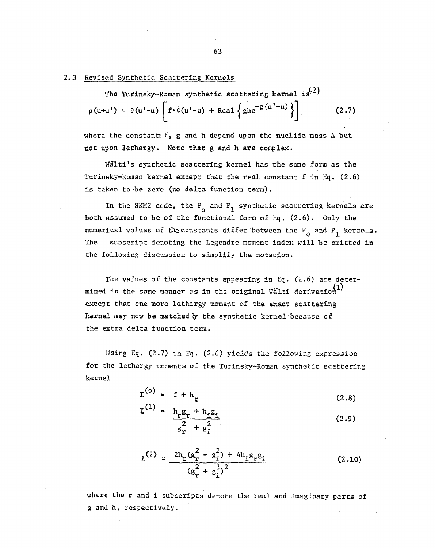#### 2.3 Revised Synthetic. Scattering Kernels

The Turinsky-Roman synthetic scattering kernel is<sup>(2)</sup>  $p(u+u') = \theta(u'-u) \left[ f \cdot \delta(u'-u) + \text{Real} \left\{ ghe^{-g(u'-u)} \right\} \right]$  (2.7)

where the constants f, g and h depend upon the nuclide mass A but not upon lethargy. Note that g and h are complex.

Walti's synthetic scattering kernel has the same form as the Turinsky-Roman kernel except that the real constant f in Eq. (2.6) is taken to be zero (no delta function term).

In the SKM2 code, the P<sub>q</sub> and P<sub>1</sub> synthetic scattering kernels are both assumed to be of the functional form of Eq. (2.6). Only the numerical values of the constants differ between the  $P^o_{\text{o}}$  and  $P^1_{\text{1}}$  kernels. The subscript denoting the Legendre moment index will be omitted in the following discussion to simplify the notation.

The values of the constants appearing in Eq.  $(2.6)$  are determined in the same manner as in the original Walti derivation except that one more lethargy moment of the exact scattering kernel may now be matched by the synthetic kernel because of the extra delta function term.

Using Eq. (2.7) in Eq. (2.6) yields the following expression for the lethargy moments of the Turinsky-Roman synthetic scattering kernel

 $s_r$  +  $s_i$ 

$$
\mathbf{I}^{(0)} = \mathbf{f} + \mathbf{h}_{\mathbf{r}} \tag{2.8}
$$
\n
$$
\mathbf{I}^{(1)} = \frac{\mathbf{h}_{\mathbf{r}} \mathbf{g}_{\mathbf{r}} + \mathbf{h}_{\mathbf{i}} \mathbf{g}_{\mathbf{i}}}{2 \cdot \mathbf{r}^{2}} \tag{2.9}
$$

$$
I^{(2)} = \frac{2h_r(g_r^2 - g_i^2) + 4h_i g_r g_i}{(g_r^2 + g_i^2)^2}
$$
 (2.10)

where the r and i subscripts denote the real and imaginary parts of g and h, respectively.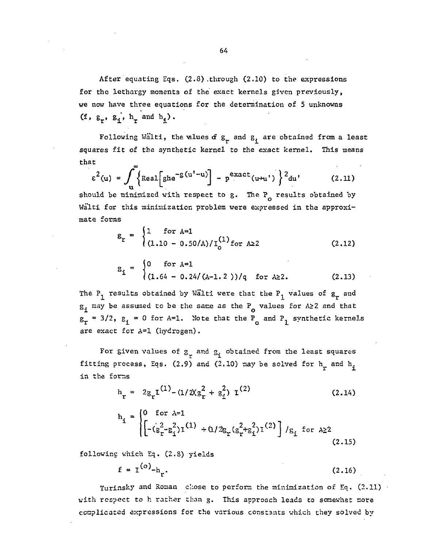After equating Eqs.  $(2.8)$  through  $(2.10)$  to the expressions for the lethargy moments of the exact kernels given previously, we now have three equations for the determination of 5 unknowns (f,  $g_r$ ,  $g_i'$ ,  $h_r$  and  $h_i$ ).

Following Walti, the ulues of  $g^r$  and  $g^r$  are obtained from a least squares fit of the synthetic kernel to the exact kernel. This means that

$$
\varepsilon^{2}(u) = \int_{u}^{u} \left\{ \text{Real} \left[ g h e^{-g(u'-u)} \right] - p^{exact}(u+u') \right\}^{2} du' \qquad (2.11)
$$

should be minimized with respect to g. The **P**q results obtained by Walti for this minimization problem were expressed in the approximate forms

$$
g_r = \begin{cases} 1 & \text{for A=1} \\ (1.10 - 0.50/A)/I_0^{(1)} \text{for A22} \end{cases}
$$
 (2.12)

$$
g_{i} = \begin{cases} 0 & \text{for } A=1 \\ (1.64 - 0.24/(A-1.2)) / q & \text{for } A \ge 2. \end{cases}
$$
 (2.13)

The P<sub>1</sub> results obtained by Walti were that the P<sub>1</sub> values of  $g^2$  and  $\mathbf{g}_{\mathbf{i}}$  may be assumed to be the same as the P values for A>2 and that  $g_r = 3/2$ ,  $g_i = 0$  for A=1. Note that the P<sub>q</sub> and P<sub>1</sub> synthetic kernels are exact for A=1 (hydrogen).

For given values of  $\sigma_{\text{r}}$  and  $\sigma_{\text{i}}$  obtained from the least squares fitting process, Eqs. (2.9) and (2.10) may be solved for  $h_r$  and  $h_i$ in the forms

$$
h_r = 2g_r I^{(1)} - (1/2(g_r^2 + g_i^2) I^{(2)}
$$
 (2.14)

$$
h_{i} = \begin{cases} 0 & \text{for } \lambda = 1 \\ \left[ -(g_{r}^{2} - g_{i}^{2}) I^{(1)} + (1/2g_{r}(g_{r}^{2} + g_{i}^{2}) I^{(2)}) \right] / g_{i} & \text{for } \lambda \ge 2 \\ (2.15) & \text{for } \lambda \ge 1 \end{cases}
$$

following which Eq. (2.8) yields

$$
f = I(o) - hr.
$$
 (2.16)

Turinsky and Roman chose to perform the minimization of Eq. (2.11) with respect to h rather than g. This approach leads to somewhat more complicated expressions for the various constants which they solved by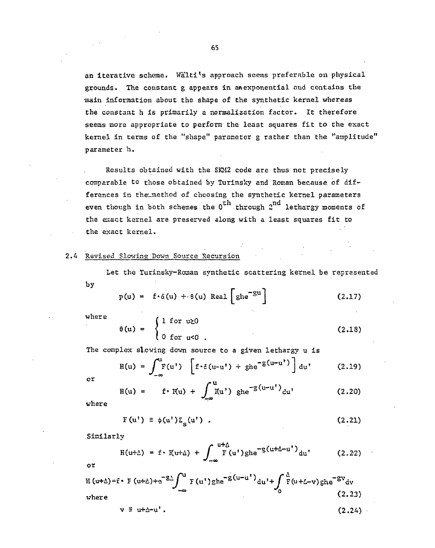an iterative scheme. Wälti's approach seems preferable on physical grounds. The constant g appears in an exponential and contains the main information about the shape of the synthetic kernel whereas the constant h is primarily a normalization factor. It therefore seems more appropriate to perform the least squares fit to the exact kernel in terms of the "shape" parameter g rather than the "amplitude" parameter h.

Results obtained with the SKM2 code are thus not precisely comparable to those obtained by Turinsky and Roman because of differences in the\_method of choosing the synthetic kernel parameters even though in both schemes the  $0^{\text{th}}$  through  $2^{\text{nd}}$  lethargy moments of the exact kernel are preserved along with a least squares fit to the exact kernel.

#### 2.4 Revised Slowing Down Source Recursion

Let the Turinsky-Roman synthetic scattering kernel be represented

by

$$
p(u) = f \cdot \delta(u) + \theta(u) Real \left[ ghe^{-gu} \right]
$$
 (2.17)

where  
\n
$$
\theta(u) = \begin{cases}\n1 & \text{for } u \ge 0 \\
0 & \text{for } u \le 0\n\end{cases}
$$
\n(2.18)

The complex slewing down source to a given lethargy u is

$$
H(u) = \int_{-\infty}^{u} F(u') \left[ f \cdot \delta(u-u') + g h e^{-g(u-u')}\right] du' \qquad (2.19)
$$

or

$$
H(u) = f \cdot K(u) + \int_{-\infty}^{u} K(u') \text{ ghe}^{-g(u-u')} du'
$$
 (2.20)

where

$$
F(u') \equiv \phi(u') \Sigma_{S}(u') \quad . \tag{2.21}
$$

Similarly

$$
H(u+\Delta) = f \cdot H(u+\Delta) + \int_{-\infty}^{u+\Delta} F(u')gh e^{-g(u+\Delta-u')} du' \qquad (2.22)
$$

**o r** 

$$
H (u+\Delta) = \mathbf{r} \cdot F (u+\Delta) + e^{-g\Delta} \int_{-\infty}^{u} F(u^{\dagger}) g h e^{-g(u-u^{\dagger})} du^{\dagger} + \int_{0}^{\Delta} F(u+\Delta-v) g h e^{-gv} dv
$$
\nwhere\n
$$
v \equiv u+\Delta-u^{\dagger}. \qquad (2.24)
$$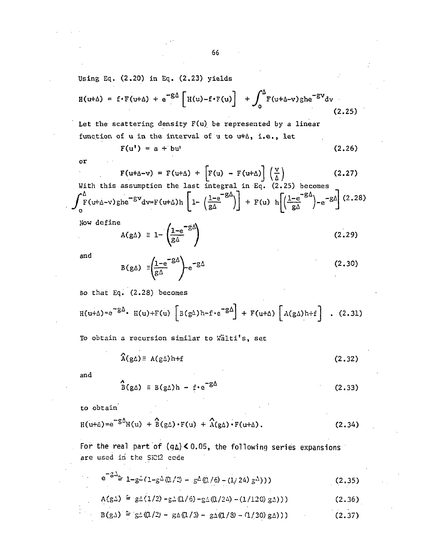Using Eq. (2.20) in Eq. (2.23) yields

$$
H(u+\Delta) = f \cdot F(u+\Delta) + e^{-g\Delta} \left[ H(u) - f \cdot F(u) \right] + \int_0^{\Delta} F(u+\Delta-v) g h e^{-gv} dv
$$
\n(2.25)

Let the scattering density F(u) be represented by a linear function of  $u$  in the interval of  $u$  to  $u+\Delta$ , i.e., let

$$
F(u') = a + bu'
$$
 (2.26)

or

$$
F(u+\Delta-v) = F(u+\Delta) + \left[F(u) - F(u+\Delta)\right] \left(\frac{v}{\Delta}\right)
$$
  
s assumption the last integral in Eq. (2.25) becomes

With this assumption the last integral in Eq. (2.25) becomes  
\n
$$
\int_0^{\Delta} F(u+\Delta-v)gh e^{-\delta V} dv = F(u+\Delta)h \left[1-\left(\frac{1-e^{-\delta \Delta}}{g\Delta}\right)\right] + F(u) h \left[\left(\frac{1-e^{-\delta \Delta}}{g\Delta}\right)-e^{-\delta \Delta}\right] (2.28)
$$

Now define

 $\ddot{\phantom{a}}$ 

$$
A(g\Delta) \equiv 1 - \left(\frac{1 - e^{-g\Delta}}{g\Delta}\right) \tag{2.29}
$$

and

$$
B(g\Delta) = \left(\frac{1-e^{-g\Delta}}{g\Delta}\right)e^{-g\Delta}
$$
 (2.30)

So that Eq. (2.28) becomes

$$
H(u+\Delta) = e^{-g\Delta} \cdot H(u) + F(u) \left[ B(g\Delta) h - f \cdot e^{-g\Delta} \right] + F(u+\Delta) \left[ A(g\Delta) h + f \right] \quad . \tag{2.31}
$$

To obtain a recursion similar to Walti's, set

$$
\widehat{A}(g\Delta) \equiv A(g\Delta)h+f
$$
 (2.32)

and

$$
\hat{B}(g\Delta) \equiv B(g\Delta)h - f \cdot e^{-g\Delta} \qquad (2.33)
$$

to obtain

$$
H(u+\Delta) = e^{-g\Delta}H(u) + \hat{B}(g\Delta) \cdot F(u) + \hat{A}(g\Delta) \cdot F(u+\Delta).
$$
 (2.34)

For the real part of  $(q_4) < 0.05$ , the following series expansions are used in the SKM2 cede

$$
e^{-3\Delta}2 \ 1 - g^2 (1 - g^2 (1 - g^2 (1/2) - g^2 (1/6) - (1/24) g^2)))
$$
 (2.35)

$$
A(g\Delta) \approx g\Delta(1/2) - g\Delta(1/6) - g\Delta(1/24) - (1/120) g\Delta))
$$
 (2.36)

$$
B(g\Delta) \triangleq g\Delta(1/2) - g\Delta(1/3) - g\Delta(1/3) - (1/30)g\Delta)
$$
 (2.37)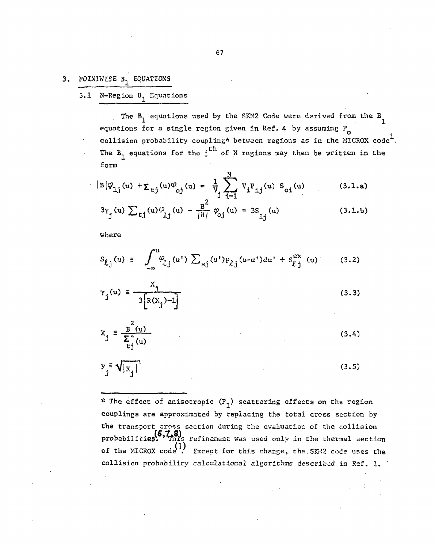#### $3.$ **POINTWISE 31 EQUATIONS**

3.1 N-Region  $B^1$  Equations

The  $B^1$  equations used by the SKM2 Code were derived from the  $B^1$ equations for a single region given in Ref. 4 by assuming  $P_{o}$ collision probability coupling\* between regions as in the MICROX code<sup>1</sup>. th j The Boeremann for the junctions for the junctions  $\mathcal{F}_\text{c}$  regions may then be written in the set of  $\mathcal{F}_\text{c}$ 

$$
|B|\varphi_{1j}(u) + \sum_{tj} (u)\varphi_{oj}(u) = \frac{1}{V} \sum_{i=1}^{N} V_i P_{ij}(u) S_{oj}(u)
$$
 (3.1.a)  

$$
3\gamma_j(u) \sum_{tj} (u)\varphi_{1j}(u) - \frac{B^2}{|B|} \varphi_{oj}(u) = 3S_{ij}(u)
$$
 (3.1.b)

where

$$
S_{\ell j}(u) = \int_{-\infty}^{u} \varphi_{\ell j}(u') \sum_{s j} (u') p_{\ell j}(u-u') du' + S_{\ell j}^{ex}(u)
$$
 (3.2)

$$
\gamma_{j}(u) = \frac{X_{j}}{3[R(X_{j})-1]}
$$
 (3.3)

$$
x_j \equiv \frac{B^2(u)}{\sum_{i=1}^{2} (u)}
$$
 (3.4)

$$
y_j \equiv \sqrt{|x_j|} \tag{3.5}
$$

\* The effect of anisotropic  $(P_1)$  scattering effects on the region couplings are approximated by replacing the total cross section by the transport cross section during the evaluation of the collision probabilities. (6,7,8)<br>probabilities. This refinement was used only in the thermal section of the MICROX code<sup>(1)</sup> Except for this change, the SK42 code uses the collision probability calculational algorithms described in Ref. 1.

collision probability calculational algorithms described in Ref. 1.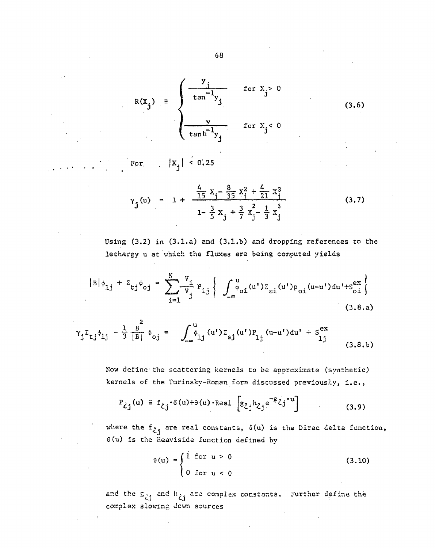$$
R(X_j) = \begin{cases} \frac{y_j}{\tan^{-1}y_j} & \text{for } X_j > 0 \\ \frac{y}{\tan^{-1}y_j} & \text{for } X_j < 0 \end{cases}
$$
(3.6)

For,  $|x_j| < 0.25$ 

$$
Y_j(u) = 1 + \frac{\frac{4}{15}x_j - \frac{8}{35}x_j^2 + \frac{4}{21}x_j^3}{1 - \frac{3}{5}x_j + \frac{3}{7}x_j^2 - \frac{1}{3}x_j^3}
$$
(3.7)

Using (3.2) in (3.1.a) and (3.1.b) and dropping references to the lethargy u at which the fluxes are being computed yields

$$
|B|\phi_{1j} + \Sigma_{\zeta j} \phi_{0j} = \sum_{i=1}^{N} \frac{v_i}{v_j} P_{i,j} \left\{ \int_{-\infty}^{u} \phi_{0i}(u') \Sigma_{si}(u') p_{0i}(u-u') du' + S_{0i}^{ex} \right\}
$$
(3.8.a)

$$
\gamma_{j} \Sigma_{tj} \phi_{1j} - \frac{1}{3} \frac{g^{2}}{|B|} \phi_{0j} = \int_{-\infty}^{u} \phi_{1j} (u') \Sigma_{sj} (u') P_{1j} (u-u') du' + S_{1j}^{ex} \tag{3.8.b}
$$

Now define the scattering kernels to be approximate (synthetic) kernels of the Turinsky-Roman form discussed previously, i.e.,

$$
P_{\lambda j}(u) = f_{\ell j} \cdot \delta(u) + \partial(u) \cdot \text{Real } \left[ g_{\ell j} h_{\lambda j} e^{-g} \ell j^{*} u \right]
$$
 (3.9)

where the  $f_{\hat{i}j}$  are real constants,  $\delta(u)$  is the Dirac delta function,  $\theta$ (u) is the Heaviside function defined by

$$
\theta(u) = \begin{cases} 1 & \text{for } u > 0 \\ 0 & \text{for } u < 0 \end{cases}
$$
 (3.10)

and the  $S_{\zeta j}$  and  $h_{\zeta j}$  are complex constants. Further define the complex slowing down sources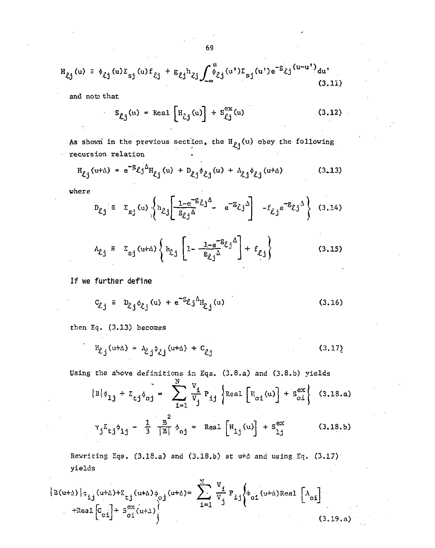$$
H_{\ell j}(u) = \phi_{\ell j}(u) \Sigma_{sj}(u) f_{\ell j} + \Sigma_{\ell j} h_{\ell j} \int_{-\infty}^{u} \phi_{\ell j}(u') \Sigma_{sj}(u') e^{-S} \ell j^{(u-u')} du'
$$
\n(3.11)

and noto that

$$
S_{\ell j}(u) = \text{Real}\left[H_{\ell j}(u)\right] + S_{\ell j}^{\text{ex}}(u) \tag{3.12}
$$

As shown in the previous section, the  $H_{\ell j}(u)$  obey the following recursion relation

$$
H_{\ell j}(u+\Delta) = e^{-g} \ell j^{\Delta} H_{\ell j}(u) + D_{\ell j} \phi_{\ell j}(u) + A_{\ell j} \phi_{\ell j}(u+\Delta)
$$
 (3.13)

where

$$
D_{\ell j} = \Sigma_{s j} (u) \left\{ h_{\ell j} \left[ \frac{1 - e^{-g} \ell j^{\Delta}}{g_{\ell j}^{\Delta}} - e^{-g} \ell j^{\Delta} \right] - f_{\ell j} e^{-g} \ell j^{\Delta} \right\}
$$
 (3.14)

$$
A_{\ell,j} = \Sigma_{sj} (u+\Delta) \left\{ h_{\ell,j} \left[ 1 - \frac{1 - e^{-S} \ell j^{\Delta}}{g_{\ell,j}^{\Delta}} \right] + f_{\ell,j} \right\}
$$
(3.15)

If we further define

$$
C_{\ell j} = D_{\ell j} \phi_{\ell j} (u) + e^{-\mathcal{E}_{\ell j} \Delta} H_{\ell j} (u)
$$
 (3.16)

then Eq. (3.13) becomes

$$
H_{\ell j}(u+\Delta) = A_{\ell j} \hat{\phi}_{\ell j}(u+\Delta) + C_{\ell j}
$$
 (3.17)

Using the above definitions in Eqs. (3.8.a) and (3.8.b) yields

$$
|B|\phi_{1j} + \Sigma_{tj}\phi_{0j} = \sum_{i=1}^{N} \frac{v_i}{v_j} P_{ij} \left\{ \text{Real } \left[ E_{oi}(u) \right] + S_{oi}^{ex} \right\} (3.18.a)
$$
  

$$
\gamma_j \Sigma_{tj} \phi_{1j} - \frac{1}{3} \frac{B}{|B|} \phi_{0j} = \text{Real } \left[ H_{1j}(u) \right] + S_{1j}^{ex} (3.18.b)
$$

Rewriting Eqs. (3.18.a) and (3.18.b) at u+ $\Delta$  and using Eq. (3.17) yields

$$
\left\{ B(u+\Delta) \middle| \hat{\sigma}_{ij}(u+\Delta) + \sum_{t,j}(u+\Delta) \phi_{0j}(u+\Delta) \right\} = \sum_{i=1}^{N} \frac{V_i}{V_j} P_{ij} \left\{ b_{0i}(u+\Delta) \text{Real } \left[ A_{0i} \right] + \text{Real } \left[ C_{0i} \right] + S_{0i}^{ex}(u+\Delta) \right\}
$$
\n(3.19.a)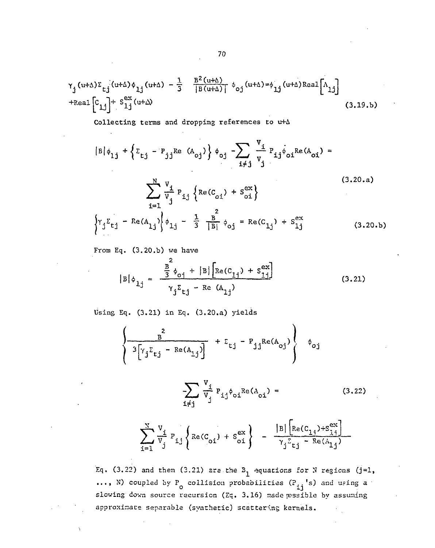$$
\gamma_{j} (u+\Delta) \Sigma_{tj} (u+\Delta) \phi_{1j} (u+\Delta) - \frac{1}{3} \frac{B^{2}(u+\Delta)}{|B(u+\Delta)|} \phi_{0j} (u+\Delta) = \phi_{1j} (u+\Delta) \text{Real} \left[ \Lambda_{1j} \right]
$$
  
+Real  $\left[ C_{1j} \right] + S_{1j}^{ex} (u+\Delta)$  (3.19.b)

Collecting terms and dropping references to u+A

$$
|B|\phi_{1j} + \left\{ \Sigma_{tj} - P_{jj} \text{Re} (A_{oj}) \right\} \phi_{oj} - \sum_{i \neq j} \frac{V_i}{V_j} P_{ij} \phi_{oi} \text{Re}(A_{oi}) =
$$
  

$$
\sum_{i=1}^{N} \frac{V_i}{V_j} P_{ij} \left\{ \text{Re}(C_{oj}) + S_{oi}^{ex} \right\}
$$
  

$$
\left\{ Y_j \Sigma_{tj} - \text{Re}(A_{1j}) \right\} \phi_{1j} - \frac{1}{3} \frac{1}{|B|} \phi_{oj} = \text{Re}(C_{1j}) + S_{1j}^{ex}
$$
 (3.20.b)

From Eq. (3.20.b) we have

$$
|B|\phi_{1j} = \frac{\frac{B^2}{3}\phi_{0j} + |B|\left[\text{Re}(C_{1j}) + S_{1j}^{ex}\right]}{\gamma_j \Sigma_{tj} - \text{Re}(A_{1j})}
$$
(3.21)

Using Eq. (3.21) in Eq. (3.20.a) yields

$$
\left\{\frac{1}{3\left[\gamma_j \Sigma_{tj} - \text{Re}(A_{1j})\right]} + \Sigma_{tj} - P_{jj} \text{Re}(A_{0j})\right\} \phi_{0j}
$$

$$
\sum_{i \neq j} \frac{v_i}{v_j} p_{ij} \phi_{oi} \text{Re}(A_{oi}) =
$$
 (3.22)

$$
\sum_{i=1}^{N} \frac{v_i}{v_j} P_{i,j} \left\{ Re(C_{oi}) + S_{oi}^{ex} \right\} - \frac{|B| \left[ Re(C_{1,j}) + S_{i,j}^{ex} \right]}{\gamma_j \Sigma_{t,j} - Re(A_{1,j})}
$$

Eq. (3.22) and then (3.21) are the  $B_1$  equations for N regions (j=1, ..., N) coupled by P<sub>o</sub> collision probabilities  $(P_{ij}$ 's) and using a slowing down source recursion (Eq. 3.16) made possible by assuming approximate separable (synthetic) scattering kernels.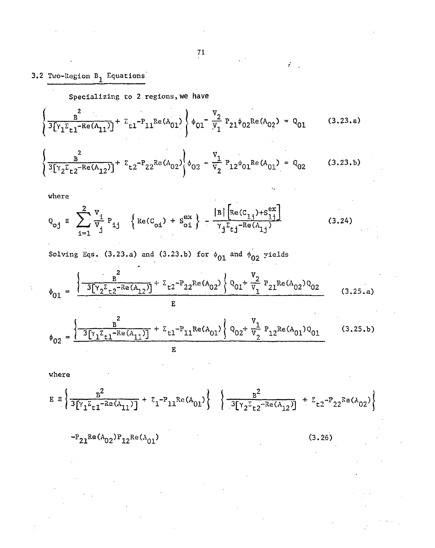$\mathcal{L}$ 

## 3.2 Two-Region B<sub>1</sub> Equations

Specializing to 2 regions, we have

$$
\left\{\frac{B^2}{3[\gamma_1 \Sigma_{t1} - \text{Re}(A_{11})]} + \Sigma_{t1} - P_{11} \text{Re}(A_{01})\right\} \phi_{01} - \frac{V_2}{V_1} P_{21} \phi_{02} \text{Re}(A_{02}) = Q_{01}
$$
 (3.23.a)

$$
\left\{\frac{1}{3[\gamma_2 \epsilon_{t2} - \text{Re}(A_{12})]} + \epsilon_{t2} - P_{22} \text{Re}(A_{02})\right\} \phi_{02} - \frac{v_1}{v_2} P_{12} \phi_{01} \text{Re}(A_{01}) = Q_{02}
$$
 (3.23.b)

where

$$
Q_{oj} = \sum_{i=1}^{2} \frac{v_i}{v_j} P_{ij} \left\{ Re(C_{oj}) + S_{oj}^{ex} \right\} - \frac{|B| \left[ Re(C_{1,j}) + S_{1,j}^{ex} \right]}{\gamma_j \Sigma_{t,j}^{-Re(A_{1,j})}}
$$
(3.24)

Solving Eqs. (3.23.a) and (3.23.b) for  $\phi_{01}$  and  $\phi_{02}$  yields

$$
\phi_{01} = \frac{\left\{\frac{B^2}{3[\gamma_2 \Sigma_{t2}^{-Re(A_{12})}]} + \Sigma_{t2}^{-P} 22^{Re(A_{02})} \right\} Q_{01} + \frac{V_2}{V_1} P_{21}^{Re(A_{02})Q_{02}}}{E}
$$
(3.25.a)

$$
\phi_{02} = \frac{\left\{\frac{B}{3[\gamma_1 \Sigma_{t1}^{-Re(A_{11})}]} + \Sigma_{t1}^{-P_{11}Re(A_{01})}\right\} Q_{02} + \frac{V_1}{V_2} P_{12}Re(A_{01})Q_{01}}{E}
$$
(3.25.b)

where

$$
E = \left\{ \frac{B^2}{3[\gamma_1 \Sigma_{t1} - Re(A_{11})]} + \Sigma_1 - P_{11}Re(A_{01}) \right\} \left\{ \frac{B^2}{3[\gamma_2 \Sigma_{t2} - Re(A_{12})]} + \Sigma_{t2} - P_{22}Re(A_{02}) \right\}
$$

 $P_{21}^{\text{Re}(A_{02})P_{12}^{\text{Re}(A_{01})}}$ 

(3.26)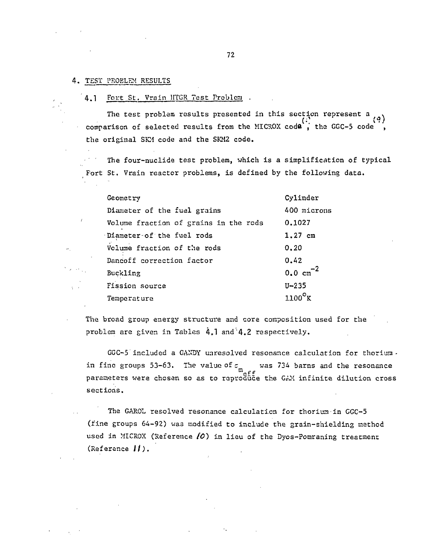#### 4. TEST PROBLEM RESULTS

#### 4.1 Fort St. Vrain HTGR Test Problem .

The test problem results presented in this section represent a  $\binom{q}{k}$ (\*)<br>comparison of selected results from the MICROX code, the GGC-5 code, the original SK1 code and the SKM2 code. the original SKM code and the SKM2 code.

The four-nuclide test problem, which is a simplification of typical Fort St. Vrain reactor problems, is defined by the following data.

| Geometry                                    | Cylinder       |
|---------------------------------------------|----------------|
| Diameter of the fuel grains                 | 400 microns    |
| Volume fraction of grains in the rods       | 0.1027         |
| $\lceil$ Diameter $\lceil$ of the fuel rods | $1.27$ cm      |
| Volume fraction of the rods                 | 0.20           |
| Dancoff correction factor                   | 0.42           |
| Buckling                                    | $0.0 cm^{-2}$  |
| Fission source                              | $U - 235$      |
| Temperature                                 | $1100^\circ$ K |

The broad group energy structure and core composition used for the problem are given in Tables 4.1 and'4.2 respectively.

GGC-5 included a GANDY unresolved resonance calculation for thorium in fine groups 53-63. The value of  $z$  was 734 barns and the resonance parameters were chosen so as to reproduce the GAM infinite dilution cross sections.

The GAROL resolved resonance calculation for thorium in GGC-5 (fine groups 64-92) was modified to include the grain-shielding method used in MICROX (Reference *fC)* in lieu of the Dyos-Pomraning treatment (Reference  $H$ ).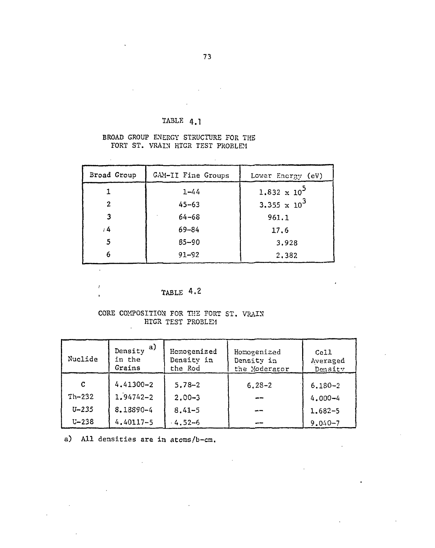TABLE 4.1

 $\sim$ 

 $\mathbb{R}^2$ 

 $\sim$   $\sim$ 

 $\ddot{\phantom{a}}$ 

 $\bar{t}$  $\mathbf{r}$ 

#### BROAD GROUP ENERGY STRUCTURE FOR THE FORT ST. VRAIN HTGR TEST PROBLEM

| Broad Group      | GAM-II Fine Groups | Lower Energy (eV)              |
|------------------|--------------------|--------------------------------|
|                  | $1 - 44$           | $1.832 \times 10^5$            |
| $\boldsymbol{2}$ | $45 - 63$          | 3.355 $\times$ 10 <sup>3</sup> |
| 3                | $64 - 68$          | 961.1                          |
| , 4              | $69 - 84$          | 17.6                           |
|                  | $85 - 90$          | 3.928                          |
| 6                | $91 - 92$          | 2,382                          |

 $\sim$ 

## TABLE 4.2

#### CORE COMPOSITION FOR THE FORT ST. VRAIN HTGR TEST PROBLEM

| Nuclide   | a)<br>Density<br>in the<br>Grains | Homogenized<br>Density in<br>the Rod | Homogenized<br>Density in<br>the Moderator | Ce11<br>Averaged<br>Density |
|-----------|-----------------------------------|--------------------------------------|--------------------------------------------|-----------------------------|
| C         | $4.41300 - 2$                     | $5.78 - 2$                           | $6.28 - 2$                                 | $6.180 - 2$                 |
| $Th-232$  | $1.94742 - 2$                     | $2.00 - 3$                           | ---                                        | $4.000 - 4$                 |
| $U - 235$ | 8.18890-4                         | $8.41 - 5$                           | $-$                                        | $1.682 - 5$                 |
| $U - 238$ | $4.40117 - 5$                     | $4.52 - 6$                           |                                            | $9.040 - 7$                 |

 $\sim 10^7$ 

a) All densities are in atoms/b-cm.

 $\mathcal{L}^{\text{max}}_{\text{max}}$  and  $\mathcal{L}^{\text{max}}_{\text{max}}$ 

 $\sim 10$ 

 $\mathcal{L}_{\mathcal{A}}$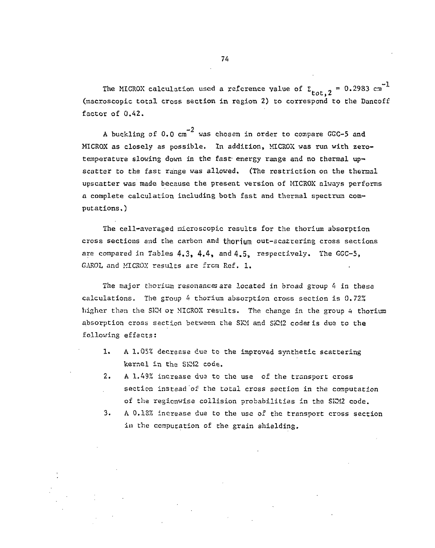The MICROX calculation used a reference value of  $\Sigma$ <sub>tot,</sub> 2 = 0.2983 cm<sup>-1</sup> (macroscopic total cross section in region 2) to correspond to the Dancoff factor of 0.42.

A buckling of 0.0 cm<sup>-2</sup> was chosen in order to compare GGC-5 and MICROX as closely as possible. In addition, MICROX was run with zerotemperature slowing down in the fast energy range and no thermal upscatter to the fast range was allowed. (The restriction on the thermal upscatter was made because the present version of MICROX always performs a complete calculation including both fast and thermal spectrum coma complete calculation including both fast and thermal spectrum computations.)

The cell-avcraged microscopic results for the thorium absorption cross sections and the carbon and thorium out-scatrering cross sections are compared in Tables  $4.3$ ,  $4.4$ , and  $4.5$ , respectively. The GGC-5, GAROL and MICROX results are from Ref. 1.

The major thorium resonances are located in broad group 4 in these calculations. The group  $4$  thorium absorption cross section is  $0.72\%$ higher than the SKM or MICROX results. The change in the group 4 thorium absorption cross section between the SKM and SKM2 codes is due to the following effects:

- 1. A 1.05% decrease cue to the improved synthetic scattering kernel in the SKM2 code.
- 2. A 1.49% increase due to the use of the transport cross section instead of the total cross section in the computation of the regicnwise collision probabilities in the SKM2 code.
- 3. A 0.13% increase due to the use of the transport cross section in the computation of the grain shielding.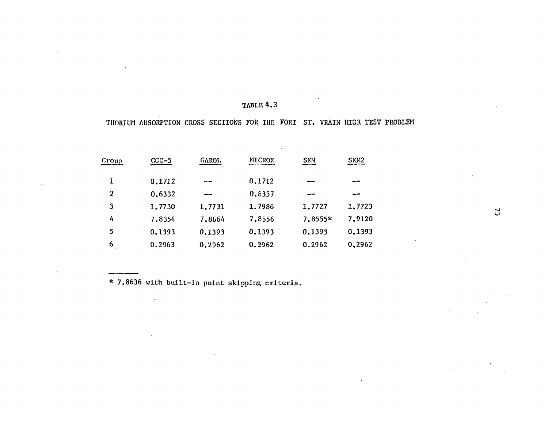### TABLE 4.3

#### THORIUM ABSORPTION CROSS SECTIONS FOR THE FORT ST. VRAIN HTGR TEST PROBLEM

| <b>MICROX</b><br><b>SKM</b><br>GAROL<br><u>Group</u><br>$CGC-5$ | SKM <sub>2</sub> |
|-----------------------------------------------------------------|------------------|
| $\mathbf{1}$<br>0.1712<br>0.1712<br>$- -$<br>--                 |                  |
| $\overline{2}$<br>0.6357<br>0.6332                              |                  |
| 3<br>1,7986<br>1.7727<br>1.7731<br>1.7730                       | 1,7723           |
| 4<br>7.8556<br>7.8354<br>7.8555*<br>7.8664                      | 7,9120           |
| 0,1393<br>5<br>0.1393<br>0.1393<br>0.1393                       | 0.1393           |
| 6<br>0.2962<br>0.2963<br>0.2962<br>0.2962                       | 0,2962           |

\* 7.8636 with built-in point skipping criteria.

 $\mathcal{A}^{\mathcal{A}}$ 

 $52$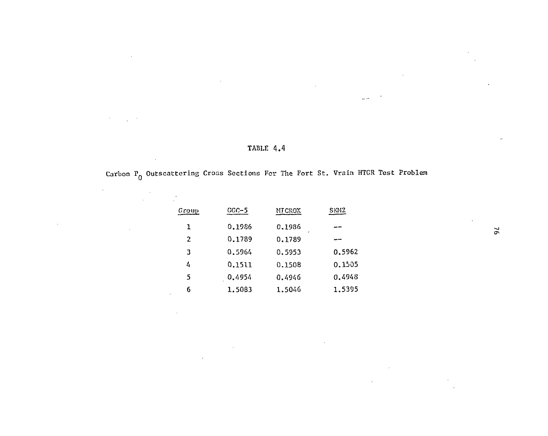$\epsilon$ 

 $\sim$ 

## **TABLE 4.4**

 $\Box$   $\Box$ 

## Carbon  $P_0$  Outscattering Cross Sections For The Fort St. Vrain HTGR Test Problem

| Group          | $CGC-5$ | <b>MICROX</b> | <b>SKM2</b> |
|----------------|---------|---------------|-------------|
| 1              | 0.1986  | 0.1986<br>,   |             |
| $\overline{2}$ | 0.1789  | 0.1789        |             |
| 3              | 0.5964  | 0.5953        | 0.5962      |
| 4              | 0.1511  | 0.1508        | 0.1505      |
| 5              | 0.4954  | 0.4946        | 0.4948      |
| 6              | 1.5083  | 1.5046        | 1.5395      |

 $\sim 10$ 

 $\mathcal{L}$ 

 $\alpha$ 

 $\mathcal{L}$ 

 $\overline{6}$ 

 $\epsilon$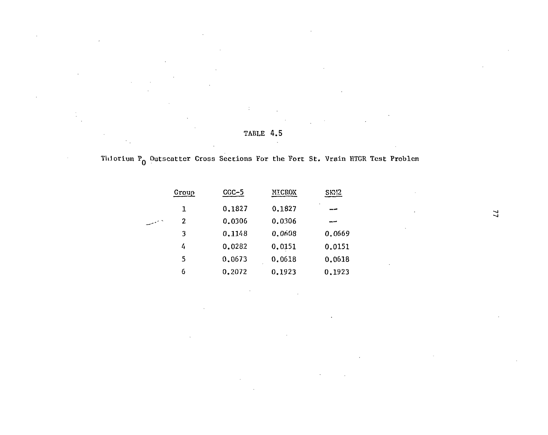## TABLE 4.5

# Th.torium  $P_0$  Outscatter Cross Sections For the Fort St. Vrain HTGR Test Problem

|    | Group | $CGC-5$ | MICROX |        |  |
|----|-------|---------|--------|--------|--|
|    | 1     | 0.1827  | 0.1827 | اس ہے۔ |  |
| ۰۰ | 2     | 0.0306  | 0.0306 |        |  |
|    | 3     | 0.1148  | 0.0608 | 0.0669 |  |
|    | 4     | 0.0282  | 0.0151 | 0.0151 |  |
|    | 5     | 0.0673  | 0.0618 | 0.0618 |  |
|    | 6     | 0.2072  | 0.1923 | 0.1923 |  |

 $\overline{11}$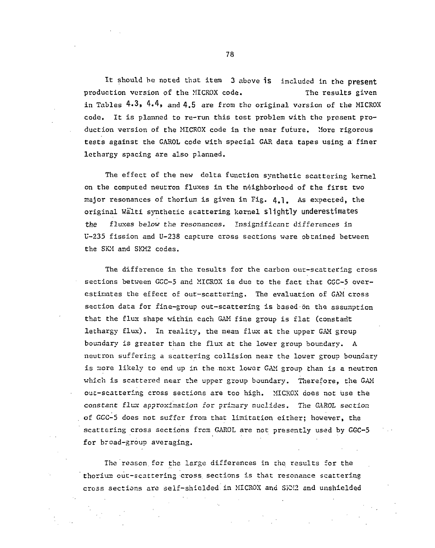It should be noted that item 3 above is included in the present production version of the MICROX code. The results given in Tables 4.3, 4.4, and 4.5 are from the original version of the MICROX code. It is planned to re-run this test problem with the present production version of the MICROX code in the near future. More rigorous tests against the GAROL code with special GAR data tapes using a finer lethargy spacing are also planned.

The effect of the new delta function synthetic scattering kernel on the computed neutron fluxes in the neighborhood of the first two major resonances of thorium is given in Fig. 4.1 . As expected, the original Walti synthetic scattering kernel slightly underestimates *the* fluxes below the resonances. Insignificant *differences* in U-235 fission and U-238 capture cross sections were obtained between the SKM and SKM2 codes.

The difference in the results for the carbon out-scattering cross sections between GGC-5 and MICROX is due to the fact that GGC-5 overestimates the effect of out-scattering. The evaluation of GAM cross section data for fine-group out-scattering is based on the assumption that the flux shape within each GAM fine group is flat (constant lethargy flux). In reality, the mean flux at the upper GAM group boundary is greater than the flux at the lower group boundary. A neutron suffering a scattering collision near the lower group boundary is more likely to end up in the next lower GAM group than is a neutron which is scattered near the upper group boundary. Therefore, the GAM out-scattering cross sections are too high. MICROX does not use the constant flux approximation for priaary nuclides. The *GAROL* section of GGC-5 does not suffer from that limitation either; however, the scattering cross sections from GAROL are not presently used by GGC-5 for broad-group averaging.

The reason for the large differences in the results for the thorium out-scattering cross sections is that resonance scattering cross sections are self-shielded in MICROX and SKM2 and unshielded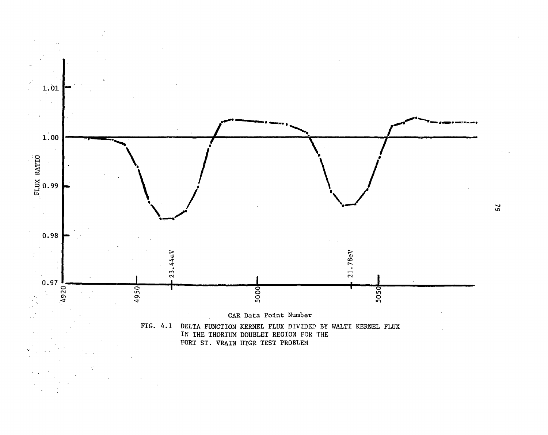

**VO**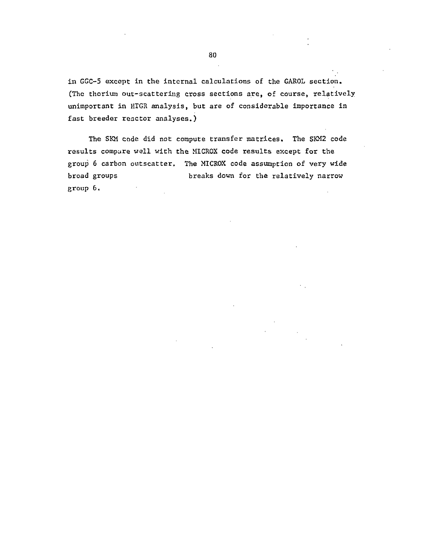in GGC-5 except in the internal calculations of the GAROL section. (The thorium out-scattering cross sections are, of course, relatively unimportant in HTGR analysis, but are of considerable importance in fast breeder reactor analyses.)

The SKM code did not compute transfer matrices. The SKM2 code results compare well with the MICROX code results except for the group 6 carbon outscatter. The MICROX code assumption of very wide broad groups breaks down for the relatively narrow group 6.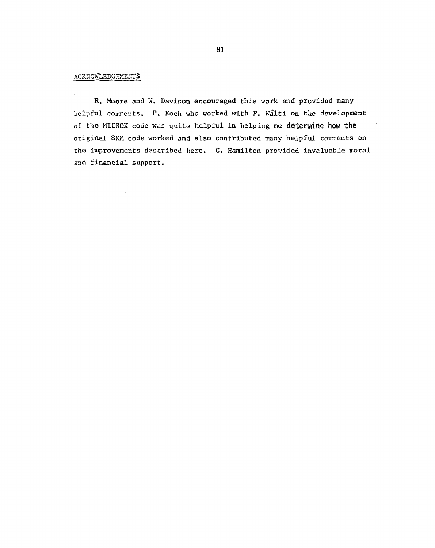#### ACKNOWLEDGEMENTS

**R.** Moore and W. Davison encouraged this work and provided many helpful comments. P. Koch who worked with P. Walti on the development of the MICROX code was quite helpful in helping me determine how the original SKM code worked and also contributed many helpful comments on the improvements described here. C. Hamilton provided invaluable moral and financial support.